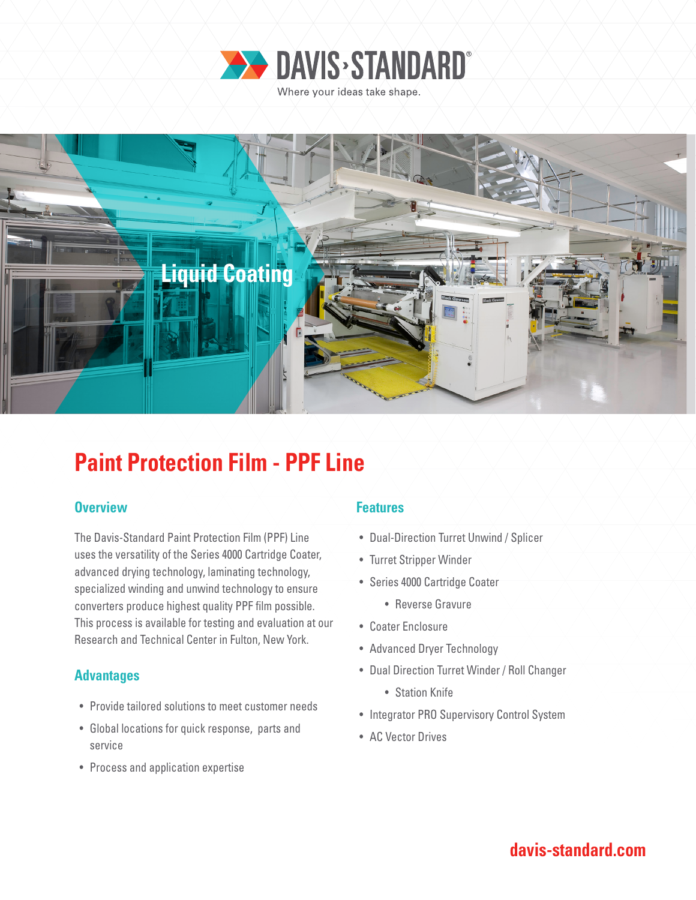



## **Paint Protection Film - PPF Line**

### **Overview Allen Accept Accept Accept Accept Features**

The Davis-Standard Paint Protection Film (PPF) Line uses the versatility of the Series 4000 Cartridge Coater, advanced drying technology, laminating technology, specialized winding and unwind technology to ensure converters produce highest quality PPF film possible. This process is available for testing and evaluation at our Research and Technical Center in Fulton, New York.

### **Advantages**

- Provide tailored solutions to meet customer needs
- Global locations for quick response, parts and service
- Process and application expertise

- Dual-Direction Turret Unwind / Splicer
- Turret Stripper Winder
- Series 4000 Cartridge Coater
	- Reverse Gravure
- Coater Enclosure
- Advanced Dryer Technology
- Dual Direction Turret Winder / Roll Changer
	- Station Knife
- Integrator PRO Supervisory Control System
- AC Vector Drives

### **davis-standard.com**